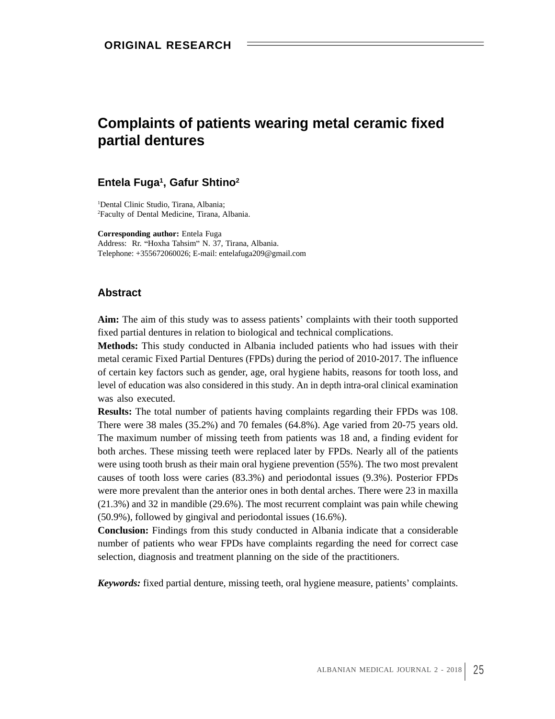# **Complaints of patients wearing metal ceramic fixed partial dentures**

### **Entela Fuga**  $\frac{1}{2}$  Gafur Shtino<sup>2</sup> **, Gafur Shtino 2**

1Dental Clinic Studio, Tirana, Albania; 2Faculty of Dental Medicine, Tirana, Albania.

**Corresponding author:** Entela Fuga Address: Rr. "Hoxha Tahsim" N. 37, Tirana, Albania. Telephone: +355672060026; E-mail: entelafuga209@gmail.com

## **Abstract**

Aim: The aim of this study was to assess patients' complaints with their tooth supported fixed partial dentures in relation to biological and technical complications.

**Methods:** This study conducted in Albania included patients who had issues with their metal ceramic Fixed Partial Dentures (FPDs) during the period of 2010-2017. The influence of certain key factors such as gender, age, oral hygiene habits, reasons for tooth loss, and level of education was also considered in this study. An in depth intra-oral clinical examination was also executed.

**Results:** The total number of patients having complaints regarding their FPDs was 108. There were  $38$  males  $(35.2%)$  and  $70$  females  $(64.8%)$ . Age varied from  $20-75$  years old. The maximum number of missing teeth from patients was 18 and, a finding evident for both arches. These missing teeth were replaced later by FPDs. Nearly all of the patients were using tooth brush as their main oral hygiene prevention (55%). The two most prevalent causes of tooth loss were caries (83.3%) and periodontal issues (9.3%). Posterior FPDs were more prevalent than the anterior ones in both dental arches. There were 23 in maxilla (21.3%) and 32 in mandible (29.6%). The most recurrent complaint was pain while chewing (50.9%), followed by gingival and periodontal issues (16.6%). *Keywords:* fixed partial denture, missing teeth, oral hygiene measure, patients complaints. **ORIGINAL RESEARCH**

**Conclusion:** Findings from this study conducted in Albania indicate that a considerable number of patients who wear FPDs have complaints regarding the need for correct case selection, diagnosis and treatment planning on the side of the practitioners.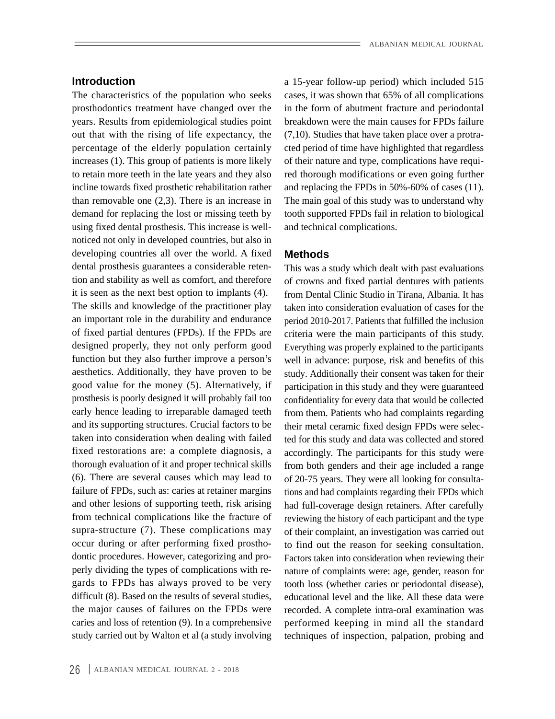The characteristics of the population who seeks prosthodontics treatment have changed over the years. Results from epidemiological studies point out that with the rising of life expectancy, the (7,10). Studies that have taken place over a protrapercentage of the elderly population certainly cted period of time have highlighted that regardless increases (1). This group of patients is more likely of their nature and type, complications have requito retain more teeth in the late years and they also red thorough modifications or even going further incline towards fixed prosthetic rehabilitation rather and replacing the FPDs in 50%-60% of cases (11). than removable one (2,3). There is an increase in The main goal of this study was to understand why demand for replacing the lost or missing teeth by using fixed dental prosthesis. This increase is wellnoticed not only in developed countries, but also in developing countries all over the world. A fixed **Methods** dental prosthesis guarantees a considerable retention and stability as well as comfort, and therefore it is seen as the next best option to implants (4). The skills and knowledge of the practitioner play an important role in the durability and endurance of fixed partial dentures (FPDs). If the FPDs are function but they also further improve a person's aesthetics. Additionally, they have proven to be good value for the money (5). Alternatively, if prosthesis is poorly designed it will probably fail too early hence leading to irreparable damaged teeth and its supporting structures. Crucial factors to be fixed restorations are: a complete diagnosis, a thorough evaluation of it and proper technical skills (6). There are several causes which may lead to failure of FPDs, such as: caries at retainer margins and other lesions of supporting teeth, risk arising from technical complications like the fracture of supra-structure (7). These complications may dontic procedures. However, categorizing and pro-

**Introduction a** 15-year follow-up period) which included 515 cases, it was shown that 65% of all complications in the form of abutment fracture and periodontal breakdown were the main causes for FPDs failure tooth supported FPDs fail in relation to biological and technical complications.

### **Methods**

designed properly, they not only perform good Everything was properly explained to the participants taken into consideration when dealing with failed ted for this study and data was collected and stored occur during or after performing fixed prostho- to find out the reason for seeking consultation. perly dividing the types of complications with re-<br>gards to FPDs has always proved to be very tooth loss (whether caries or periodontal disease), difficult (8). Based on the results of several studies, educational level and the like. All these data were the major causes of failures on the FPDs were recorded. A complete intra-oral examination was caries and loss of retention (9). In a comprehensive performed keeping in mind all the standard study carried out by Walton et al (a study involving techniques of inspection, palpation, probing andThis was a study which dealt with past evaluations of crowns and fixed partial dentures with patients from Dental Clinic Studio in Tirana, Albania. It has taken into consideration evaluation of cases for the period 2010-2017. Patients that fulfilled the inclusion criteria were the main participants of this study. well in advance: purpose, risk and benefits of this study. Additionally their consent was taken for their participation in this study and they were guaranteed confidentiality for every data that would be collected from them. Patients who had complaints regarding their metal ceramic fixed design FPDs were selecaccordingly. The participants for this study were from both genders and their age included a range of 20-75 years. They were all looking for consultations and had complaints regarding their FPDs which had full-coverage design retainers. After carefully reviewing the history of each participant and the type of their complaint, an investigation was carried out Factors taken into consideration when reviewing their nature of complaints were: age, gender, reason for tooth loss (whether caries or periodontal disease),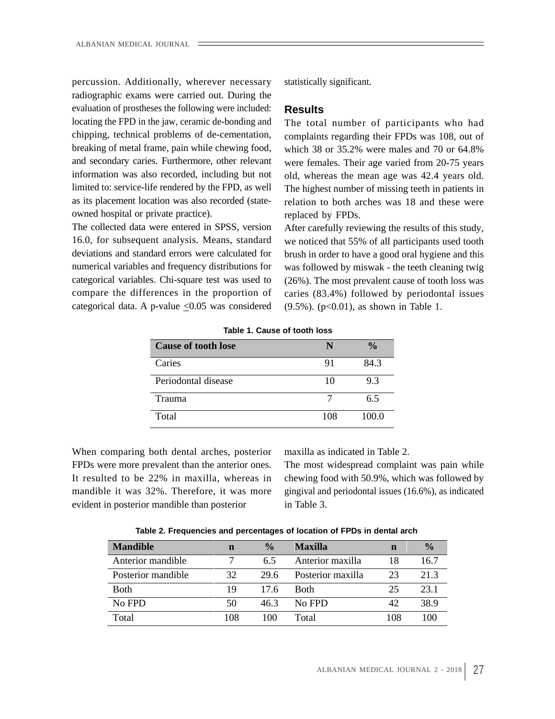percussion. Additionally, wherever necessary radiographic exams were carried out. During the evaluation of prostheses the following were included: Results locating the FPD in the jaw, ceramic de-bonding and The total number of participants who had chipping, technical problems of de-cementation, limited to: service-life rendered by the FPD, as well owned hospital or private practice). The replaced by FPDs.

The collected data were entered in SPSS, version After carefully reviewing the results of this study, categorical data. A p-value  $< 0.05$  was considered

statistically significant.

### **Results**

breaking of metal frame, pain while chewing food, which 38 or 35.2% were males and 70 or 64.8% and secondary caries. Furthermore, other relevant were females. Their age varied from 20-75 years information was also recorded, including but not old, whereas the mean age was 42.4 years old. as its placement location was also recorded (state- relation to both arches was 18 and these were complaints regarding their FPDs was 108, out of which 38 or 35.2% were males and 70 or 64.8% The highest number of missing teeth in patients in replaced by FPDs.

16.0, for subsequent analysis. Means, standard we noticed that 55% of all participants used tooth deviations and standard errors were calculated for brush in order to have a good oral hygiene and this numerical variables and frequency distributions for was followed by miswak - the teeth cleaning twig categorical variables. Chi-square test was used to (26%). The most prevalent cause of tooth loss was compare the differences in the proportion of caries (83.4%) followed by periodontal issues (9.5%). (p<0.01), as shown in Table 1.

| <b>Cause of tooth lose</b> |                         |
|----------------------------|-------------------------|
| Caries                     | - 924.<br>$\sim$ $\sim$ |
| Periodontal disease        |                         |
| Trauma                     |                         |
| 100<br><b>Total</b>        | $\sim$ $\sim$ $\sim$    |

**Table 1. Cause of tooth loss**

When comparing both dental arches, posterior FPDs were more prevalent than the anterior ones. The most widespread complaint was pain while It resulted to be 22% in maxilla, whereas in chewing food with 50.9%, which was followed by mandible it was 32%. Therefore, it was more gingival and periodontal issues (16.6%), as indicated evident in posterior mandible than posterior in Table 3.

maxilla as indicated in Table 2.

in Table 3.

| Mandible n % Maxilla |                                                                                             |  |
|----------------------|---------------------------------------------------------------------------------------------|--|
|                      | Anterior mandible $\qquad \qquad 7$ $\qquad 6.5$ Anterior maxilla $\qquad$ 18 $\qquad$ 16.7 |  |
|                      | Posterior mandible 32 29.6 Posterior maxilla 23 21.3                                        |  |
|                      | Both 19 17.6 Both 25 23.1                                                                   |  |
|                      | No FPD 50 46.3 No FPD 42 38.9                                                               |  |
|                      | Total 108 100 Total 108 100                                                                 |  |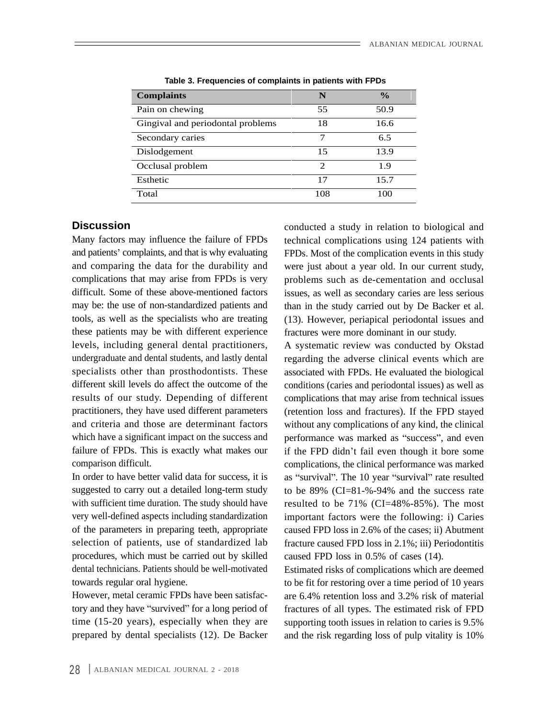| <b>Complaints</b>                 |       |
|-----------------------------------|-------|
| Pain on chewing                   | -50.9 |
| Gingival and periodontal problems | 16.6  |
| Secondary caries                  |       |
| Dislodgement                      | 13.9  |
| Occlusal problem                  |       |
| Esthetic                          | 15.7  |
| Total                             | 100   |

**Table 3. Frequencies of complaints in patients with FPDs**

tools, as well as the specialists who are treating these patients may be with different experience levels, including general dental practitioners, A systematic review was conducted by Okstad

of the parameters in preparing teeth, appropriate selection of patients, use of standardized lab procedures, which must be carried out by skilled caused FPD loss in 0.5% of cases (14).

However, metal ceramic FPDs have been satisfacprepared by dental specialists (12). De Backer

**Discussion** Many factors may influence the failure of FPDs technical complications using 124 patients with and patients' complaints, and that is why evaluating FPDs. Most of the complication events in this study and comparing the data for the durability and were just about a year old. In our current study, complications that may arise from FPDs is very problems such as de-cementation and occlusal difficult. Some of these above-mentioned factors issues, as well as secondary caries are less serious may be: the use of non-standardized patients and than in the study carried out by De Backer et al. (13). However, periapical periodontal issues and fractures were more dominant in our study.

undergraduate and dental students, and lastly dental regarding the adverse clinical events which are specialists other than prosthodontists. These associated with FPDs. He evaluated the biological different skill levels do affect the outcome of the conditions (caries and periodontal issues) as well as results of our study. Depending of different complications that may arise from technical issues practitioners, they have used different parameters (retention loss and fractures). If the FPD stayed and criteria and those are determinant factors without any complications of any kind, the clinical which have a significant impact on the success and performance was marked as "success", and even failure of FPDs. This is exactly what makes our if the FPD didn't fail even though it bore some comparison difficult. complications, the clinical performance was marked In order to have better valid data for success, it is as "survival". The 10 year "survival" rate resulted suggested to carry out a detailed long-term study to be 89% (CI=81-%-94% and the success rate with sufficient time duration. The study should have resulted to be 71% (CI=48%-85%). The most very well-defined aspects including standardization important factors were the following: i) Caries caused FPD loss in 2.6% of the cases; ii) Abutment fracture caused FPD loss in 2.1%; iii) Periodontitis caused FPD loss in 0.5% of cases (14).

dental technicians. Patients should be well-motivated Estimated risks of complications which are deemed towards regular oral hygiene. to be fit for restoring over a time period of 10 years tory and they have "survived" for a long period of fractures of all types. The estimated risk of FPD time (15-20 years), especially when they are supporting tooth issues in relation to caries is 9.5% are 6.4% retention loss and 3.2% risk of material and the risk regarding loss of pulp vitality is 10%